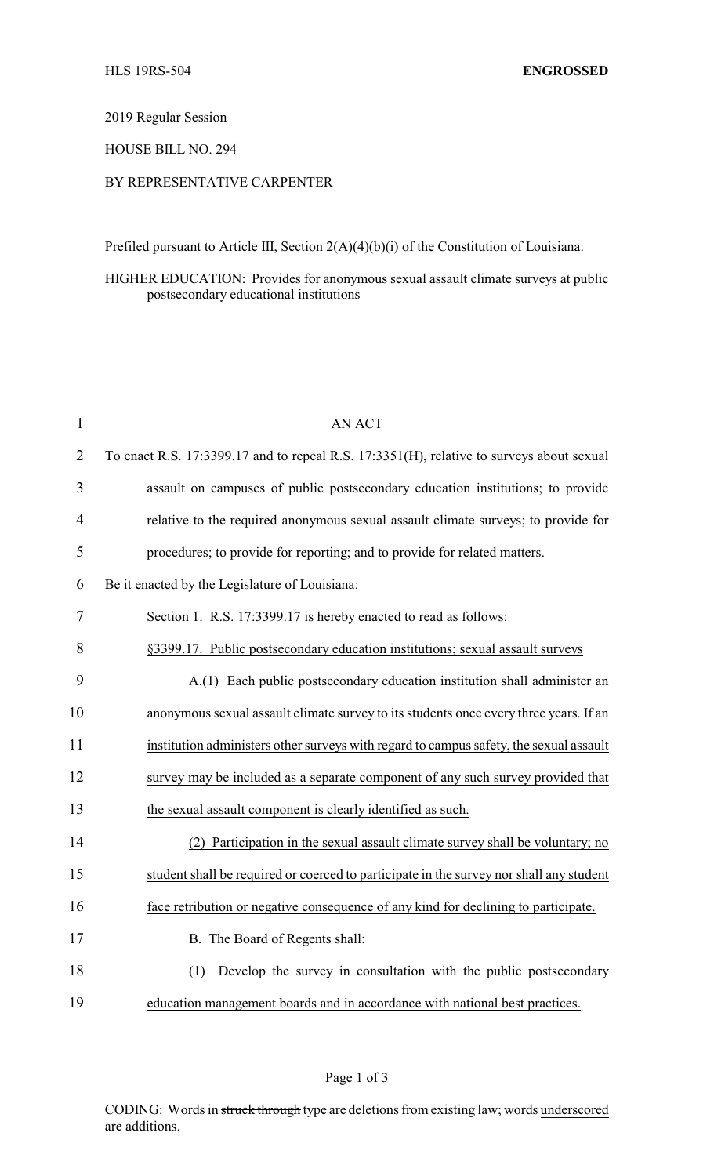## 2019 Regular Session

#### HOUSE BILL NO. 294

## BY REPRESENTATIVE CARPENTER

Prefiled pursuant to Article III, Section 2(A)(4)(b)(i) of the Constitution of Louisiana.

## HIGHER EDUCATION: Provides for anonymous sexual assault climate surveys at public postsecondary educational institutions

| $\mathbf{1}$   | <b>AN ACT</b>                                                                            |
|----------------|------------------------------------------------------------------------------------------|
| $\overline{2}$ | To enact R.S. 17:3399.17 and to repeal R.S. 17:3351(H), relative to surveys about sexual |
| 3              | assault on campuses of public postsecondary education institutions; to provide           |
| $\overline{4}$ | relative to the required anonymous sexual assault climate surveys; to provide for        |
| 5              | procedures; to provide for reporting; and to provide for related matters.                |
| 6              | Be it enacted by the Legislature of Louisiana:                                           |
| 7              | Section 1. R.S. 17:3399.17 is hereby enacted to read as follows:                         |
| 8              | §3399.17. Public postsecondary education institutions; sexual assault surveys            |
| 9              | A.(1) Each public postsecondary education institution shall administer an                |
| 10             | anonymous sexual assault climate survey to its students once every three years. If an    |
| 11             | institution administers other surveys with regard to campus safety, the sexual assault   |
| 12             | survey may be included as a separate component of any such survey provided that          |
| 13             | the sexual assault component is clearly identified as such.                              |
| 14             | (2) Participation in the sexual assault climate survey shall be voluntary; no            |
| 15             | student shall be required or coerced to participate in the survey nor shall any student  |
| 16             | face retribution or negative consequence of any kind for declining to participate.       |
| 17             | B. The Board of Regents shall:                                                           |
| 18             | Develop the survey in consultation with the public postsecondary<br>(1)                  |
| 19             | education management boards and in accordance with national best practices.              |

Page 1 of 3

CODING: Words in struck through type are deletions from existing law; words underscored are additions.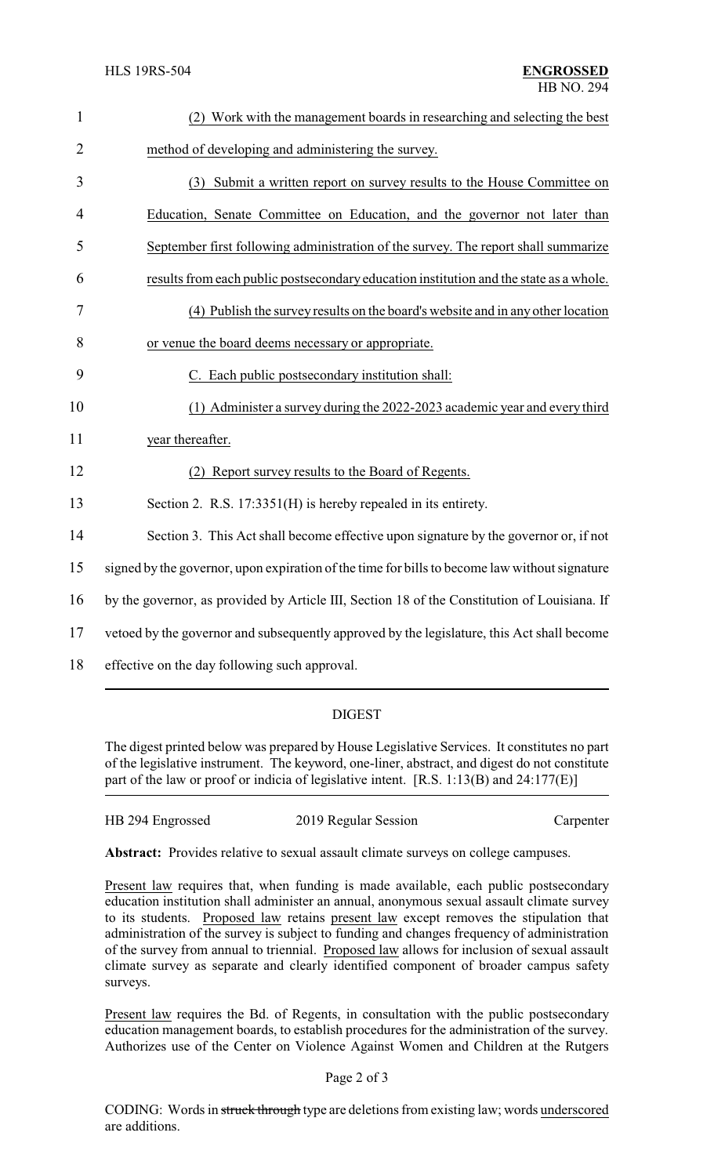| $\mathbf{1}$   | (2) Work with the management boards in researching and selecting the best                     |
|----------------|-----------------------------------------------------------------------------------------------|
| $\overline{2}$ | method of developing and administering the survey.                                            |
| 3              | (3) Submit a written report on survey results to the House Committee on                       |
| 4              | Education, Senate Committee on Education, and the governor not later than                     |
| 5              | September first following administration of the survey. The report shall summarize            |
| 6              | results from each public postsecondary education institution and the state as a whole.        |
| 7              | (4) Publish the survey results on the board's website and in any other location               |
| 8              | or venue the board deems necessary or appropriate.                                            |
| 9              | C. Each public postsecondary institution shall:                                               |
| 10             | (1) Administer a survey during the 2022-2023 academic year and every third                    |
| 11             | year thereafter.                                                                              |
| 12             | Report survey results to the Board of Regents.                                                |
| 13             | Section 2. R.S. 17:3351(H) is hereby repealed in its entirety.                                |
| 14             | Section 3. This Act shall become effective upon signature by the governor or, if not          |
| 15             | signed by the governor, upon expiration of the time for bills to become law without signature |
| 16             | by the governor, as provided by Article III, Section 18 of the Constitution of Louisiana. If  |
| 17             | vetoed by the governor and subsequently approved by the legislature, this Act shall become    |
| 18             | effective on the day following such approval.                                                 |

# DIGEST

The digest printed below was prepared by House Legislative Services. It constitutes no part of the legislative instrument. The keyword, one-liner, abstract, and digest do not constitute part of the law or proof or indicia of legislative intent. [R.S. 1:13(B) and 24:177(E)]

| HB 294 Engrossed<br>2019 Regular Session | Carpenter |
|------------------------------------------|-----------|
|------------------------------------------|-----------|

**Abstract:** Provides relative to sexual assault climate surveys on college campuses.

Present law requires that, when funding is made available, each public postsecondary education institution shall administer an annual, anonymous sexual assault climate survey to its students. Proposed law retains present law except removes the stipulation that administration of the survey is subject to funding and changes frequency of administration of the survey from annual to triennial. Proposed law allows for inclusion of sexual assault climate survey as separate and clearly identified component of broader campus safety surveys.

Present law requires the Bd. of Regents, in consultation with the public postsecondary education management boards, to establish procedures for the administration of the survey. Authorizes use of the Center on Violence Against Women and Children at the Rutgers